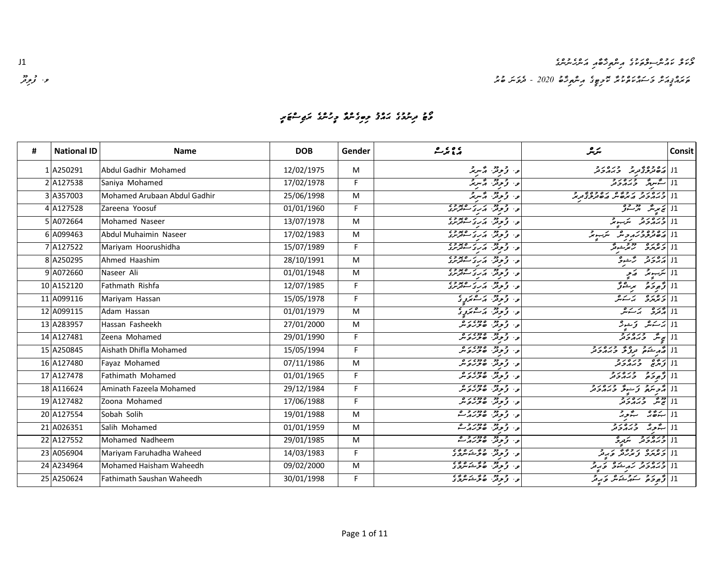| # | <b>National ID</b> | <b>Name</b>                  | <b>DOB</b> | Gender | ړ وی ک                                                       | سرپر                                         | <b>Consit</b> |
|---|--------------------|------------------------------|------------|--------|--------------------------------------------------------------|----------------------------------------------|---------------|
|   | 1A250291           | Abdul Gadhir Mohamed         | 12/02/1975 | M      | ە . ۇجۇڭ ، ئەسرىگە                                           | 11   رەدەبەتە دىرەرد                         |               |
|   | 2 A127538          | Saniya Mohamed               | 17/02/1978 | F      | والمحموقة المسرنة                                            | J1 شىرىم ئەممىردىنى                          |               |
|   | 3 A357003          | Mohamed Arubaan Abdul Gadhir | 25/06/1998 | M      | ه . و څوند . د سرچ                                           |                                              |               |
|   | 4A127528           | Zareena Yoosuf               | 01/01/1960 | F      | ه د وه در کرد که ده ده<br>د د وفر اړکو که تر                 | J1  ىم پې <sup>قىس</sup> قريشتو ق            |               |
|   | 5 A072664          | <b>Mohamed Naseer</b>        | 13/07/1978 | M      | ه . و دو . د کرک میووه<br>ه . و توفر . د کرک مشور دی         | J1   ج. پروژنتر   سرّ سبز مرّ                |               |
|   | 6 A099463          | Abdul Muhaimin Naseer        | 17/02/1983 | M      | ه . و حوفز . د کرو که د د د د                                | J1   مەھەر <i>بەر بەر بىر سىب بىر</i>        |               |
|   | 7A127522           | Mariyam Hoorushidha          | 15/07/1989 | F      | ه . و حوفز . د کرک معروری<br>ه . و موفز . د کرک معروری       | J1 كَرْمَهُرْ حَرَّمْ مِسْرَمْةِ مَّ         |               |
|   | 8 A250295          | Ahmed Haashim                | 28/10/1991 | M      | ه . توفر . ترکه معرور<br>ه . توفر . ترکه مترک                | J1   <i>مَ بُرْدَ مَرْ</i> مُسْرِدُ          |               |
|   | 9 A072660          | Naseer Ali                   | 01/01/1948 | M      | ه . توفق اړې <u>د معدد ،</u>                                 |                                              |               |
|   | 10 A152120         | Fathmath Rishfa              | 12/07/1985 | F      | ه · توفير · مرئة سورية                                       | J1 <i>وَجوحَ</i> هُم سِشْوَتَرَ              |               |
|   | 11 A099116         | Mariyam Hassan               | 15/05/1978 | F      | ە ئۇچەتر مەسىرىدى                                            | 11   د پروژ                                  |               |
|   | 12 A099115         | Adam Hassan                  | 01/01/1979 | M      | والمحرفين أرك يمري                                           | J1 م <i>مُعَرَّة - بَرَسَ</i> سْ             |               |
|   | 13 A283957         | Hassan Fasheekh              | 27/01/2000 | M      | <u>- ج- ج- ۱۵ موري و.</u><br>ح- تو <del>خ</del> رش - مخرره س | 11 كەشكە تۇھبى                               |               |
|   | 14 A127481         | Zeena Mohamed                | 29/01/1990 | F      | <u>- د دو ۶۶۵۰ ول</u><br>و· زخهر م <i>حردو</i> نتر           | J1  يې تېر تر <i>پر ور</i> تر                |               |
|   | 15 A250845         | Aishath Dhifla Mohamed       | 15/05/1994 | F      | ه . د دو. ۱۵۲۵ و.<br>د . د د تر                              | 11   مەر شەم بورۇ ئەمەد ئە                   |               |
|   | 16 A127480         | Fayaz Mohamed                | 07/11/1986 | M      | <u>- جوړه وروي ول</u>                                        | J1   <i>ئى</i> رىج ئىسى ئىركى ئىر            |               |
|   | 17 A127478         | Fathimath Mohamed            | 01/01/1965 | F      | و د دو ۱۵ <u>۶۵ وي.</u><br>د ترمونز، <i>۱۳۶۵ و</i> ر         | J1   توجوحة حدة دور ح                        |               |
|   | 18 A116624         | Aminath Fazeela Mohamed      | 29/12/1984 | F      | و . و <del>دو</del> دوم دوم<br>و . و دور <del>ه د</del> روند | l1   مُرْسِنَةٌ كَسَبِعٌ دْبَرْدْدَةْ.       |               |
|   | 19 A127482         | Zoona Mohamed                | 17/06/1988 | F      | <u>و دو دوره ده ولي</u>                                      | J1 ميمگر <i>جند م</i> حمد                    |               |
|   | 20 A127554         | Sobah Solih                  | 19/01/1988 | M      | و توفر <i>مورد و ه</i>                                       | $\sqrt{26}$ $\approx$ $\sqrt{11}$<br>ستذور   |               |
|   | 21 A026351         | Salih Mohamed                | 01/01/1959 | M      | <u>- و دور ۱۳۶۵ و</u>                                        | כמה כל<br>כמה כל<br>J1 بگور <sub>گ</sub>     |               |
|   | 22 A127552         | Mohamed Nadheem              | 29/01/1985 | M      | <u>3 موقع 2000 میل</u><br>د و قرار صورت                      | J1 <i>دبرە دۇ.</i> ئىرىپرو                   |               |
|   | 23 A056904         | Mariyam Faruhadha Waheed     | 14/03/1983 | F      | ە ئۇنىڭ ھۇشكەردى                                             | J1   ئ <i>ەشرى ئەيرىتى ئەبەت</i>             |               |
|   | 24 A234964         | Mohamed Haisham Waheedh      | 09/02/2000 | M      | ە ئەمەد دەپىيە دەپ                                           | 11   3 برە 3 قرىر شەرقى ئەر بىر              |               |
|   | 25 A250624         | Fathimath Saushan Waheedh    | 30/01/1998 | F      | و . و دو . وي شوره و ،<br>و . و و تر . ه تر شور د د          | 11   <i>وَّجوحَمْ سَهْرَجْعُ</i> مْ وَرِيْرَ |               |

*IrwTcsijwr egcnuhIm Wvcnegibil uqcawH egumunid uTOv*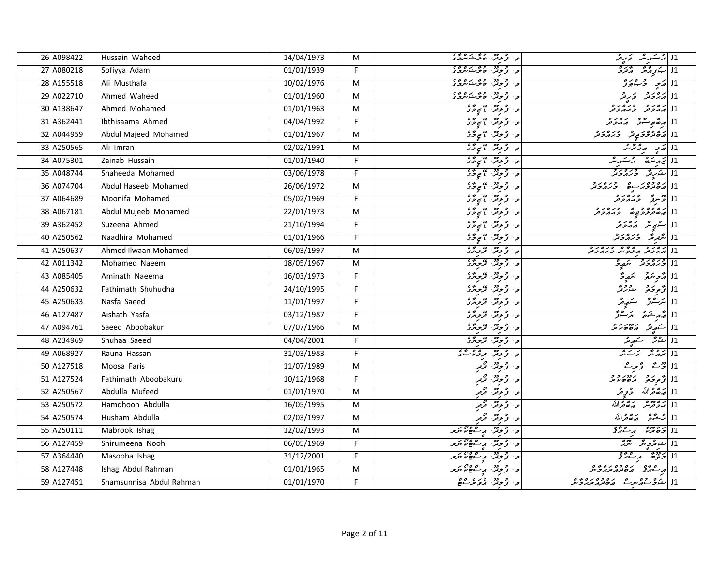| 26 A098422 | Hussain Waheed           | 14/04/1973 | M              | ه د د دوره ده ده ک                                                                                                                                                                                                              | J1 كجەسىمبەر<br>ر<br>ح بر تو                                            |
|------------|--------------------------|------------|----------------|---------------------------------------------------------------------------------------------------------------------------------------------------------------------------------------------------------------------------------|-------------------------------------------------------------------------|
| 27 A080218 | Sofiyya Adam             | 01/01/1939 | F.             | و و وو وي دوره                                                                                                                                                                                                                  | 11 بتورم <sup>ی</sup> مجر <mark>ہ</mark>                                |
| 28 A155518 | Ali Musthafa             | 10/02/1976 | M              | و دو وي دي.<br>د ژبونډ، ځوڅه سرچ د                                                                                                                                                                                              | $\frac{2}{3}$ $\frac{2}{3}$ $\frac{2}{3}$ $\frac{2}{3}$ $\frac{11}{3}$  |
| 29 A022710 | Ahmed Waheed             | 01/01/1960 | $\overline{M}$ | ر د در دور دوره ده د کار داده داد کار د کار در داده داده داده داده داده کار داده کار داده کار داد کار داد کار<br>در افزار داده کار کار داده کار داده کار داده کار داده کار داده کار داده کار داده کار داده کار داده کار داده کا | J1   رَرُدُوَ تَرَ وَرِيْرَ                                             |
| 30 A138647 | Ahmed Mohamed            | 01/01/1963 | M              | و د ووژبه علم وی                                                                                                                                                                                                                | J1 <i>הُرُوَمْ وَبُرُوَمْ</i>                                           |
| 31 A362441 | Ibthisaama Ahmed         | 04/04/1992 | F.             | و و و در په پاره کا                                                                                                                                                                                                             | J1 رەم <sub>ۇ</sub> شۇ<br>أرورو                                         |
| 32 A044959 | Abdul Majeed Mohamed     | 01/01/1967 | ${\sf M}$      | والمحرفة المعج وتحا                                                                                                                                                                                                             | - <i>جرم و د</i><br>ح بر <sub>ا</sub> ر څ<br>J1   مَ <i>ەقترى جو</i> تر |
| 33 A250565 | Ali Imran                | 02/02/1991 | M              | و وګونژ ، نام ژکا                                                                                                                                                                                                               | J1 <i>ھُجِ مِ</i> چمَعْر                                                |
| 34 A075301 | Zainab Hussain           | 01/01/1940 | F              | و توفر بي <i>پاڻي</i>                                                                                                                                                                                                           | بە ئەسەر بىر<br>بەر بىر<br>J1 تج م <b>بر</b> ته څه                      |
| 35 A048744 | Shaheeda Mohamed         | 03/06/1978 | F              | و د ودر علم ود                                                                                                                                                                                                                  | ]] غرير وبرورة                                                          |
| 36 A074704 | Abdul Haseeb Mohamed     | 26/06/1972 | ${\sf M}$      | و· دُونژ: ٤ پِوَدُدَ                                                                                                                                                                                                            | 11 كەندى يەرەبىرى 12.000                                                |
| 37 A064689 | Moonifa Mohamed          | 05/02/1969 | F              | و گروهی می دی                                                                                                                                                                                                                   | J1   جي ميٽر <i>ويندوند</i>                                             |
| 38 A067181 | Abdul Mujeeb Mohamed     | 22/01/1973 | ${\sf M}$      | والمحرقر الممج وثما                                                                                                                                                                                                             | 11 <i>בספקס ביחיד</i>                                                   |
| 39 A362452 | Suzeena Ahmed            | 21/10/1994 | F.             | ه ژوند ، نیوژ                                                                                                                                                                                                                   | J1   سنموٍ شَرَ مَ <sup>روب</sup> ة                                     |
| 40 A250562 | Naadhira Mohamed         | 01/01/1966 | F              | و و وقر ۽ پاڻو                                                                                                                                                                                                                  | J1 س <i>ت</i> عر <i>مدٌ ح</i> مد <i>ح</i> قر                            |
| 41 A250637 | Ahmed Ilwaan Mohamed     | 06/03/1997 | M              | ه وقرقر ترجعه                                                                                                                                                                                                                   | 11 <mark>הזכנה הככת כמהכנק</mark>                                       |
| 42 A011342 | Mohamed Naeem            | 18/05/1967 | M              | اه و محرقر محرم دين <del>د.</del><br>اه و محرقر محرم دينو                                                                                                                                                                       | J1 دېږدونر<br>سمەر                                                      |
| 43 A085405 | Aminath Naeema           | 16/03/1973 | $\mathsf F$    | ه . و ود . ترجه .                                                                                                                                                                                                               | J1   مَّرْ بِئَعْدَ<br>سمدقر                                            |
| 44 A250632 | Fathimath Shuhudha       | 24/10/1995 | F.             | و· وقرقر قرمزدگی                                                                                                                                                                                                                | سترترتر<br>J1   تُرجوحو                                                 |
| 45 A250633 | Nasfa Saeed              | 11/01/1997 | F              | اء و ترویژ کروردی<br>اما از ترویژ کروردی                                                                                                                                                                                        | J1 مترش <i>و</i> مح<br>ستهرش                                            |
| 46 A127487 | Aishath Yasfa            | 03/12/1987 | F.             | والمحموقة المتعرفي                                                                                                                                                                                                              | ىرىسى<br>$\sqrt{3}$ $\sqrt{2}$ $\sqrt{2}$                               |
| 47 A094761 | Saeed Aboobakur          | 07/07/1966 | M              | ه . وُفْرِيْنْ الْمُرْفِرْيْرَ                                                                                                                                                                                                  | 77/77/7<br>J1  ست <sub>م</sub> برقر                                     |
| 48 A234969 | Shuhaa Saeed             | 04/04/2001 | F              | ه . و وفر . ترجه .                                                                                                                                                                                                              | ا<br>مشر <sup>ق</sup><br>سكورتر<br>J1                                   |
| 49 A068927 | Rauna Hassan             | 31/03/1983 | F              | ه د ود پروري                                                                                                                                                                                                                    | J1 بَرَيْرَ بَرَسَة مَدْ                                                |
| 50 A127518 | Moosa Faris              | 11/07/1989 | M              | ە· <i>ۆرتى: تۈ</i> مر                                                                                                                                                                                                           | J1 تۇشە ئەبرىشە                                                         |
| 51 A127524 | Fathimath Aboobakuru     | 10/12/1968 | F              | اء <sub>:</sub> وَوقدْ قَرْمَ                                                                                                                                                                                                   | 77777<br>J1 زَّەپرىق <sub>ە</sub>                                       |
| 52 A250567 | Abdulla Mufeed           | 01/01/1970 | ${\sf M}$      | ر . و وفر محمد .<br>د . و وفر محمد                                                                                                                                                                                              | J1 كَدْهُ قَرْاللَّه<br>و و تر                                          |
| 53 A250572 | Hamdhoon Abdulla         | 16/05/1995 | M              | ه . و وقر . و .<br>مستقرر . و .                                                                                                                                                                                                 | برەددە<br>برة قرالله<br>J1                                              |
| 54 A250574 | Husham Abdulla           | 02/03/1997 | M              | ا د و و و د و د و د کرد ا                                                                                                                                                                                                       | J1 أَرْشَرْ مُنْ<br>مەھىراللە                                           |
| 55 A250111 | Mabrook Ishag            | 12/02/1993 | ${\sf M}$      | و دود. د مقامته                                                                                                                                                                                                                 | $\frac{0.255}{0.2000}$ J1<br>ەرسەپرىي                                   |
| 56 A127459 | Shirumeena Nooh          | 06/05/1969 | F              | و وقرقر و مقامته                                                                                                                                                                                                                | مترم<br>  هو مركز پيشر<br> <br>  J1                                     |
| 57 A364440 | Masooba Ishag            | 31/12/2001 | F              | و و و در دوه برند                                                                                                                                                                                                               | ەرمەيزى<br>$\frac{27}{60}$ J1                                           |
| 58 A127448 | Ishag Abdul Rahman       | 01/01/1965 | M              | و د ود د معاملته                                                                                                                                                                                                                | ره وه ره ده ه<br>پره تور <i>پر پر</i> تر<br>رمشترقه<br>J1               |
| 59 A127451 | Shamsunnisa Abdul Rahman | 01/01/1970 | $\overline{F}$ | والمحروض أدوير سقط                                                                                                                                                                                                              | 11 خوشهرسر مەمدەم                                                       |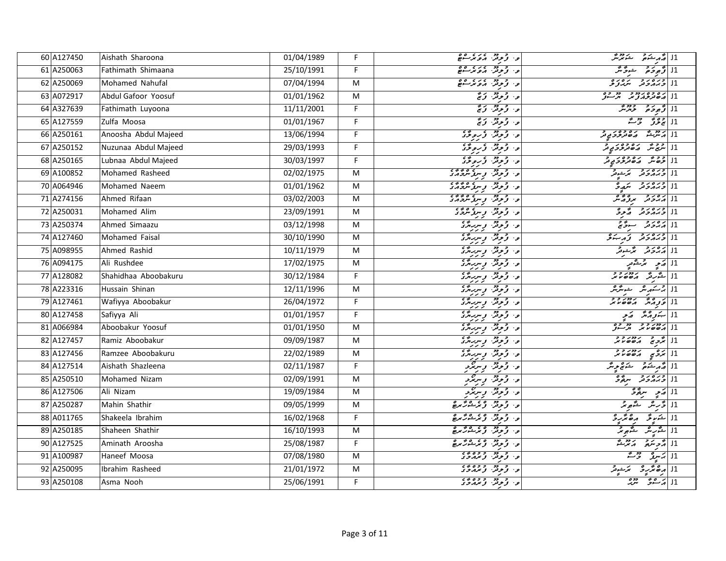| 60 A127450 | Aishath Sharoona     | 01/04/1989 | F.             | ه د ود در ده کرده وه                                              | مەدەرى<br>شەنبۇ بىر<br>J1 أَمَّ مِهْ مِنْهُ مِحْ                                                                                |
|------------|----------------------|------------|----------------|-------------------------------------------------------------------|---------------------------------------------------------------------------------------------------------------------------------|
| 61 A250063 | Fathimath Shimaana   | 25/10/1991 | F              | ه . و <del>در عدد عامل وه</del>                                   | J1   <i>وَّ وودَهْ</i> مُسودٌ مَّرْ                                                                                             |
| 62 A250069 | Mohamed Nahufal      | 07/04/1994 | M              | و توفر بروتر ده <mark></mark>                                     | 11 <i>22025 مترور</i> و                                                                                                         |
| 63 A072917 | Abdul Gafoor Yoosuf  | 01/01/1962 | $\overline{M}$ | ه . وٌوِمْرٌ . وَنَجْ                                             | 11 <i>בספרית מ-20</i><br>11 ה <i>שיתה נית</i> ת-1                                                                               |
| 64 A327639 | Fathimath Luyoona    | 11/11/2001 | F.             | والمحرقر وكالحج                                                   | J1 أَوَّجِوحَهُ فَوَحِيْرَ مَثَّلَ                                                                                              |
| 65 A127559 | Zulfa Moosa          | 01/01/1967 | F              | والمحوقل تمظيم                                                    | وسته<br>J1 كىچە بىچە بىرىستان ئىستان ئىستان ئىستان ئىستان ئىستان ئىستان ئىستان ئىستان ئىستان ئىستان ئىستان ئىستان ئىست<br>مەنبە |
| 66 A250161 | Anoosha Abdul Majeed | 13/06/1994 | F              | ە دېچىق ۋرەپچى                                                    | رە دور پەر<br>مەھىر <i>ۋ</i> رىج<br>ار کوچی کی کارگر دیگر کے $ 1 $                                                              |
| 67 A250152 | Nuzunaa Abdul Majeed | 29/03/1993 | F              | ە ئۇچەش ئۈرۈمگە                                                   | J1                                                                                                                              |
| 68 A250165 | Lubnaa Abdul Majeed  | 30/03/1997 | F              | والمحرفة كمروفي                                                   | 11 <mark>خەش مەمەدىر د</mark>                                                                                                   |
| 69 A100852 | Mohamed Rasheed      | 02/02/1975 | ${\sf M}$      | والمحرقة والمعطيمة                                                | J1 د <i>برو</i> د تر<br>بمرشدقر                                                                                                 |
| 70 A064946 | Mohamed Naeem        | 01/01/1962 | M              | والمحرفة لمستحصر                                                  | 11 دېږدونه                                                                                                                      |
| 71 A274156 | Ahmed Rifaan         | 03/02/2003 | M              | و وُرِمْرٌ وِسِرْ مِعْدَمُ                                        | J1   پر بر <sub>تر</sub> تر<br>بروژمر                                                                                           |
| 72 A250031 | Mohamed Alim         | 23/09/1991 | ${\sf M}$      | و وقرقة ومؤمنة                                                    | J1 دُبَہْرَدَمْر<br>رژوژ                                                                                                        |
| 73 A250374 | Ahmed Simaazu        | 03/12/1998 | M              | ه وقرقه وسرچ                                                      | J1   رُرْدَ دَ مَرْسَمَّ                                                                                                        |
| 74 A127460 | Mohamed Faisal       | 30/10/1990 | M              | ه وقرقة وسرون                                                     | J1 <i>בגמכת התיה</i>                                                                                                            |
| 75 A098955 | Ahmed Rashid         | 10/11/1979 | ${\sf M}$      | ه . وقرقة و سرچ                                                   | J1 <i>ەزدۇنى بۇ</i> ھەتر                                                                                                        |
| 76 A094175 | Ali Rushdee          | 17/02/1975 | M              | والمحوقة لإسرافية                                                 | م در ده مر<br>$\frac{1}{\frac{2}{\sqrt{2}}}$ J1                                                                                 |
| 77 A128082 | Shahidhaa Aboobakuru | 30/12/1984 | F.             | ه وقرقه ومرتكبه                                                   | 77/77/7<br>J1   مشررتر                                                                                                          |
| 78 A223316 | Hussain Shinan       | 12/11/1996 | ${\sf M}$      | والمحوقة لمسترامية                                                | J1 پر سک <i>م</i> ریش ہے گ <i>ر</i> یش                                                                                          |
| 79 A127461 | Wafiyya Aboobakur    | 26/04/1972 | F              | والمحوقة لمستندفي                                                 | $\frac{2222}{28666}$ $\frac{20}{286}$ $\frac{20}{28}$ $\frac{11}{2}$                                                            |
| 80 A127458 | Safiyya Ali          | 01/01/1957 | F.             | ه وقوقة وسرامة                                                    | 11   سورچم <del>گر</del><br>تمجيح                                                                                               |
| 81 A066984 | Aboobakur Yoosuf     | 01/01/1950 | $\overline{M}$ | والمرفرقة والرامر                                                 | $22601$ 11<br>ترجيع                                                                                                             |
| 82 A127457 | Ramiz Aboobakur      | 09/09/1987 | M              | ه . وقوقر . و سربر پژی                                            | 77777<br>11   مُدْرِج                                                                                                           |
| 83 A127456 | Ramzee Aboobakuru    | 22/02/1989 | M              | والمحوفر وسراوي                                                   | $7222$ $-222$ $-11$                                                                                                             |
| 84 A127514 | Aishath Shazleena    | 02/11/1987 | F              | والمحوقة ومرتكب                                                   | J1 مەمرىسىمۇ سىم <mark>ئوچ</mark> ىگر                                                                                           |
| 85 A250510 | Mohamed Nizam        | 02/09/1991 | M              | ە · قرموقتر · يا سرچرم                                            | J1 دېم دې تر<br>سۇر                                                                                                             |
| 86 A127506 | Ali Nizam            | 19/09/1984 | ${\sf M}$      | ه· وڅونژ و سرچر                                                   | J1   رَمِ سِرْمُوْدُ                                                                                                            |
| 87 A250287 | Mahin Shathir        | 09/05/1999 | ${\sf M}$      | والمحرور وبمشر بمع                                                | $\frac{2}{3}$ اءً سِ<br>مشهجرتمر                                                                                                |
| 88 A011765 | Shakeela Ibrahim     | 16/02/1968 | F.             | والمحرور وترشرتهم                                                 | $\overline{\mathcal{S}_{\mathcal{S}}\overset{\circ}{\mathcal{S}_{\mathcal{S}}\mathcal{S}_{\mathcal{A}}}}$<br>J1   يندر محر      |
| 89 A250185 | Shaheen Shathir      | 16/10/1993 | M              | والمحرور وترشرترين                                                | $\frac{1}{2}$ اڪمپر<br>مشوبر                                                                                                    |
| 90 A127525 | Aminath Aroosha      | 25/08/1987 | F              | والمرفرق وتمشر بمنع                                               | رىزىتە<br>J1 أُمَّ حِبَعَ <u>هُ</u>                                                                                             |
| 91 A100987 | Haneef Moosa         | 07/08/1980 | M              | י צי <i>בור בכס</i> ף:<br>פי צי <i>בור צ</i> אורב                 | J1  پرس <i>پ</i> و وحت                                                                                                          |
| 92 A250095 | Ibrahim Rasheed      | 21/01/1972 | M              | و . و <del>دوه و وه و .</del><br>و . و ومر . و دوه و <del>.</del> | $\frac{1}{2}$ رە ئرىز<br>بمرشدقر                                                                                                |
| 93 A250108 | Asma Nooh            | 25/06/1991 | F              | ه د وه دوه به<br>د وون و درد د                                    | $22 - 2 - 11$                                                                                                                   |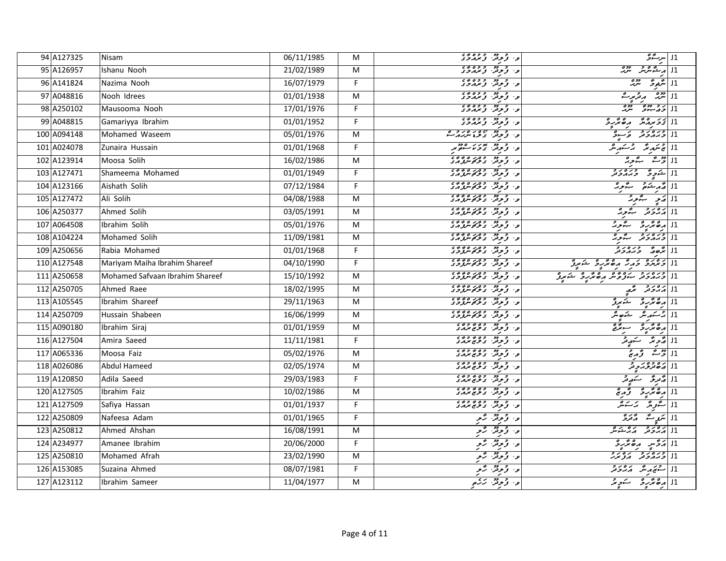| 94 A127325  | <b>Nisam</b>                    | 06/11/1985 | M           | ل - محمد موقع موقع به الملك الملك الملك الملك الملك الملك الملك الملك الملك الملك الملك الملك الملك الملك الم<br>الملك الملك الملك الملك الملك الملك الملك الملك الملك الملك الملك الملك الملك الملك الملك الملك الملك الملك ا | J1   سرگرم                                                |
|-------------|---------------------------------|------------|-------------|--------------------------------------------------------------------------------------------------------------------------------------------------------------------------------------------------------------------------------|-----------------------------------------------------------|
| 95 A126957  | Ishanu Nooh                     | 21/02/1989 | M           | ه . و <del>دو . و وه و .</del><br>و . و <i>و</i> فر . و بويرو .                                                                                                                                                                | J1 مەشەھەر<br>يتزه                                        |
| 96 A141824  | Nazima Nooh                     | 16/07/1979 | $\mathsf F$ | י צי <i>בר בכס ש</i><br>פי צי <i>ב</i> ות צ'מחכז                                                                                                                                                                               | يوه<br>J1 مَتْ <sub>خُ</sub> رَّ                          |
| 97 A048816  | Nooh Idrees                     | 01/01/1938 | M           | و د و دوه ده ده<br>و گرفتن کاملات                                                                                                                                                                                              | J1 میرچ مرمز برگ                                          |
| 98 A250102  | Mausooma Nooh                   | 17/01/1976 | F           | و توفر ووه دو.<br>و توفر توممدون                                                                                                                                                                                               | $\frac{27}{27}$ $\frac{2}{9}$ $\frac{1}{2}$<br>يوه        |
| 99 A048815  | Gamariyya Ibrahim               | 01/01/1952 | F.          | و . و <del>دو و وه و د</del>                                                                                                                                                                                                   | J1 تح <b>رم</b> مبر مثر<br>مەمۇرۇ                         |
| 100 A094148 | Mohamed Waseem                  | 05/01/1976 | M           | <u>و دو مىمورورو مى</u>                                                                                                                                                                                                        | J1 دُبَرْدْدَنْد                                          |
| 101 A024078 | Zunaira Hussain                 | 01/01/1968 | F.          | ه . توفيق برديد و در .<br>و . توفيق . د و لا سوه م                                                                                                                                                                             | برسكهرمثر<br>J1 تخ يئرم <sup>م</sup> گر                   |
| 102 A123914 | Moosa Solih                     | 16/02/1986 | ${\sf M}$   | ه د تونه د دوړه دوه <del>.</del>                                                                                                                                                                                               | J1 رُمْ سُدُورُ                                           |
| 103 A127471 | Shameema Mohamed                | 01/01/1949 | F           |                                                                                                                                                                                                                                | J1   ش <i>وچ</i> و محمد <i>مح</i> مد                      |
| 104 A123166 | Aishath Solih                   | 07/12/1984 | F.          | و د در دوره دود <del>.</del><br>د . زندند . د د کارگرد د                                                                                                                                                                       | ستزور<br>$\sqrt{\frac{2}{n} \sum_{n=1}^{\infty} 1}$       |
| 105 A127472 | Ali Solih                       | 04/08/1988 | M           | و . تر دور ده دوم در دارد د                                                                                                                                                                                                    | J1   رَمِ سِمَّعِرُ                                       |
| 106 A250377 | Ahmed Solih                     | 03/05/1991 | M           | ه د توفر ده دوره در د                                                                                                                                                                                                          | J1   روزة مدينة مرد                                       |
| 107 A064508 | Ibrahim Solih                   | 05/01/1976 | M           | و توفر دورودون<br>و توفر د فرکوس                                                                                                                                                                                               | $rac{2}{3}$<br>ستحرز                                      |
| 108 A104224 | Mohamed Solih                   | 11/09/1981 | M           | ه . توفيق المحكم معمد المعنى                                                                                                                                                                                                   | $7222$ J1<br>ستزور                                        |
| 109 A250656 | Rabia Mohamed                   | 01/01/1968 | F.          | ه د ود. دوره دور                                                                                                                                                                                                               | - <i>27072</i><br>- <i>27536</i><br>J1 بمُرْحد <i>ة</i> ً |
| 110 A127548 | Mariyam Maiha Ibrahim Shareef   | 04/10/1990 | F           | والمحرور ووره ووالمعا                                                                                                                                                                                                          | $\frac{1}{2}$                                             |
| 111 A250658 | Mohamed Safvaan Ibrahim Shareef | 15/10/1992 | M           | ه د وجود ده د دود د                                                                                                                                                                                                            | 11   2012 - 1020 مەھەرىرى ئىس بور                         |
| 112 A250705 | Ahmed Raee                      | 18/02/1995 | ${\sf M}$   | والمحتوفة المحامي والمعالمة                                                                                                                                                                                                    | J1   پروژنر                                               |
| 113 A105545 | Ibrahim Shareef                 | 29/11/1963 | M           | ه د وجود ۱۵۶۵ ورود د                                                                                                                                                                                                           | $5\frac{2}{3}$<br>ىشە بىر ۋ                               |
| 114 A250709 | Hussain Shabeen                 | 16/06/1999 | M           | ه د ود ده ده دود .<br>د د ود د د د کارود                                                                                                                                                                                       | شەھ بىر<br>J1   پر سەر يىلە                               |
| 115 A090180 | Ibrahim Siraj                   | 01/01/1959 | M           |                                                                                                                                                                                                                                | سىدۇ                                                      |
| 116 A127504 | Amira Saeed                     | 11/11/1981 | F.          | י צ'ידי דריד דרי                                                                                                                                                                                                               | J1 م <i>مُّ</i> حدمَّد سَمَ <i>وِ</i> مُّر                |
| 117 A065336 | Moosa Faiz                      | 05/02/1976 | M           | و . توفر . وه ووه <del>.</del><br>و . توفر . و <del>و</del> و مرد .                                                                                                                                                            | $2^{2}$ J1<br>تۇ بەتج                                     |
| 118 A026086 | Abdul Hameed                    | 02/05/1974 | M           | و د وه دوه دوه <del>.</del><br>و د ووتر د وده دوه                                                                                                                                                                              | J1 كەھەر <i>ۋە ئەج</i> ەتر                                |
| 119 A120850 | Adila Saeed                     | 29/03/1983 | F           |                                                                                                                                                                                                                                | J1   مُدَّمَّرِ مُحَّ                                     |
| 120 A127505 | Ibrahim Faiz                    | 10/02/1986 | M           | <u>- דרך דרך דרך דר</u>                                                                                                                                                                                                        | J1 رەئۇر <sup>ى</sup>                                     |
| 121 A127509 | Safiya Hassan                   | 01/01/1937 | F.          | و دو دوه ووي.<br>و· توفر د نوم پروي                                                                                                                                                                                            | برسەيىتە<br>J1   سُنْروتر                                 |
| 122 A250809 | Nafeesa Adam                    | 01/01/1965 | F           | ه . وُمُحِمَّدُ النَّامِ                                                                                                                                                                                                       | J1   سَموٍ سَمَّة مَسَّرَدَّ                              |
| 123 A250812 | Ahmed Ahshan                    | 16/08/1991 | M           | ە • ئۇچەتتى گەم                                                                                                                                                                                                                | J1   م <i>زود مروح</i> تر                                 |
| 124 A234977 | Amanee Ibrahim                  | 20/06/2000 | F           | ە بۇ ئۇچە ئۇچ                                                                                                                                                                                                                  | 11 أرَدُّسٍ م <i>ِ</i> رْحَمَّدِ دِ                       |
| 125 A250810 | Mohamed Afrah                   | 23/02/1990 | M           | ه· وُمُومْرٌ رُّمُو                                                                                                                                                                                                            | 11 <i>בגהבה הؤندל</i>                                     |
| 126 A153085 | Suzaina Ahmed                   | 08/07/1981 | F.          | ه وتوفر رمو                                                                                                                                                                                                                    | J1   سنتجار مثر الدكت كروبر <mark>-</mark>                |
| 127 A123112 | Ibrahim Sameer                  | 11/04/1977 | ${\sf M}$   | والمحروش تركبو                                                                                                                                                                                                                 |                                                           |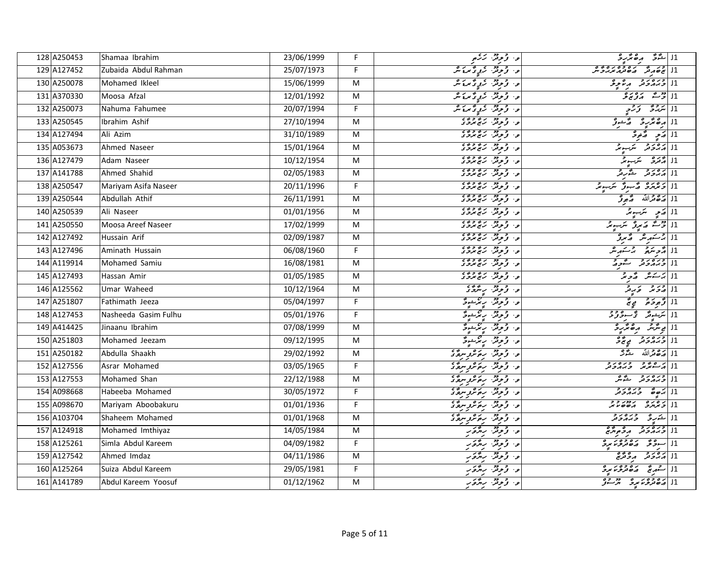| 128 A250453 | Shamaa Ibrahim       | 23/06/1999 | F.        | والمحرفة كركبي                             | J1 ڪُنگ م <i>ھنگرد</i>                                |
|-------------|----------------------|------------|-----------|--------------------------------------------|-------------------------------------------------------|
| 129 A127452 | Zubaida Abdul Rahman | 25/07/1973 | F.        | والمحروش كرو ومحدثا ملا                    | 11 <i>جەمەتى مەدەمدە ج</i> و                          |
| 130 A250078 | Mohamed Ikleel       | 15/06/1999 | M         | ە <sub>ئ</sub> ۇچۇر كې <sub>چ</sub> وگىيەك | 11 دېرورو مروبه                                       |
| 131 A370330 | Moosa Afzal          | 12/01/1992 | M         | و وقوقه رو مي مي مي مر                     | J1   جي پيم تريخ تر                                   |
| 132 A250073 | Nahuma Fahumee       | 20/07/1994 | F         | ە <i>بۇرەتر ئېرۇمدىك</i>                   | J1 سَرَبْرَدَّ وَرْحِ                                 |
| 133 A250545 | Ibrahim Ashif        | 27/10/1994 | M         | والمحروض كالمجاورة                         | J1 رەئزى <sub>ر</sub> و<br>ېژ مندو <sup>0</sup>       |
| 134 A127494 | Ali Azim             | 31/10/1989 | M         | ه . و <del>دو . زمج د د ، .</del>          | J1   <i>مَدْمٍ</i> مَحْمَدِدْ                         |
| 135 A053673 | Ahmed Naseer         | 15/01/1964 | M         | و . و <del>دو . ره د وه .</del>            | J1   پروژنر<br>ىئرسىيە تىر                            |
| 136 A127479 | Adam Naseer          | 10/12/1954 | M         | ه د وده. ره دوه                            | J1   مُرْمَرْدْ مَسَنَبِينْتُمْ                       |
| 137 A141788 | Ahmed Shahid         | 02/05/1983 | ${\sf M}$ | פי צ'קבר, ג'ו דבי                          | J1   رَحْرَ مَرْ مَدَّرِ مِرْ                         |
| 138 A250547 | Mariyam Asifa Naseer | 20/11/1996 | F.        | ا د . د د د د د د د د د د د                | 11 كَرْمَرْدْ مُنْ بِنْ مَرْبِيْرَ                    |
| 139 A250544 | Abdullah Athif       | 26/11/1991 | M         | و . و <mark>و</mark> پر رو ووی             | J1   رَصْحْرْاللَّهُ     رَحْمَو رَحْ                 |
| 140 A250539 | Ali Naseer           | 01/01/1956 | ${\sf M}$ | و . و <mark>و در د د د د .</mark>          | J1 <mark>ر<sub>َسم</sub> برَب و تر</mark>             |
| 141 A250550 | Moosa Areef Naseer   | 17/02/1999 | ${\sf M}$ | ه . و وو . رو . د                          | الا <mark>خ<sup>ر</sup> محمد مرکز متن</mark> بینیم    |
| 142 A127492 | Hussain Arif         | 02/09/1987 | ${\sf M}$ | اه . وقرقر المنظم وها                      | J1 <mark>بڑے پر شہر ش</mark> مبر محمد اللہ ا          |
| 143 A127496 | Aminath Hussain      | 06/08/1960 | F.        | و . و و در ان دور <del>.</del>             | J1 أَمُرْ سَنَعْهُ مِنْ سَنَ <sub>ا</sub> مِدْ مِنْ   |
| 144 A119914 | Mohamed Samiu        | 16/08/1981 | M         | والمحروق كالمحاوي                          | J1 دېمبروتر                                           |
| 145 A127493 | Hassan Amir          | 01/05/1985 | ${\sf M}$ | ه . و <del>دو . زمج و د ،</del>            | J1   پرسترس م <i>م</i> ح <del>ر پ</del> ر             |
| 146 A125562 | Umar Waheed          | 10/12/1964 | M         | والمحرفة بالرقمة                           | J1 <mark>پرې تر کاب</mark> و                          |
| 147 A251807 | Fathimath Jeeza      | 05/04/1997 | F         | ە بۇ قرقان بەيرىشو <del>گ</del> ا          | ][  أَوَّجوحَرْهُ فَيْ مِيَّ                          |
| 148 A127453 | Nasheeda Gasim Fulhu | 05/01/1976 | F.        | و وکړونز رنگرېنونځ                         | تۇسىر <i>ۇ دى</i><br>J1  سَرَىشِوشَ                   |
| 149 A414425 | Jinaanu Ibrahim      | 07/08/1999 | M         | و· وُفْرِقْرُ رِيْرَ شَوْرَ                | 11 <mark><sub>عب</sub>شبر رگ متربہ 3</mark>           |
| 150 A251803 | Mohamed Jeezam       | 09/12/1995 | ${\sf M}$ | ە <i>وقوق پەرىمى</i> ۋ                     | J1   <i>دېروند</i> ي <sub>ې ت</sub> مځ                |
| 151 A250182 | Abdulla Shaakh       | 29/02/1992 | M         | و وقرقة روكروسروكا                         | ه شو محمد<br>مشترک<br>J1 22 محمد الله                 |
| 152 A127556 | Asrar Mohamed        | 03/05/1965 | F.        | ه وڅونه رځوروسرځ                           | 11 كەشەپرىتى<br>- <i>جره و د</i><br>تر <i>پر ډ</i> ېر |
| 153 A127553 | Mohamed Shan         | 22/12/1988 | ${\sf M}$ | و وقرقه روكرو مرود                         | ت<br>شەھر<br>J1 دېم دېمبر                             |
| 154 A098668 | Habeeba Mohamed      | 30/05/1972 | F         | و وقرقر روتروسوی                           | $\frac{2}{2}$ $\frac{2}{2}$ $\frac{1}{2}$             |
| 155 A098670 | Mariyam Aboobakuru   | 01/01/1936 | F.        | والمروثة الكوروسي                          | 77777<br>J1   ئەنگەرى                                 |
| 156 A103704 | Shaheem Mohamed      | 01/01/1968 | M         | ە ئۇچە سەھرىتى بى                          | <del>دره درو</del><br>تر <i>پر</i> وتر<br>$5 - 11$    |
| 157 A124918 | Mohamed Imthiyaz     | 14/05/1984 | ${\sf M}$ | ه وڅونش رهڅېر                              | وده وژنج<br>J1   دېرورونر                             |
| 158 A125261 | Simla Abdul Kareem   | 04/09/1982 | F         | ه . وُوترْ رِرُّهْ رِ                      | $\frac{1}{2}$<br> J1                                  |
| 159 A127542 | Ahmed Imdaz          | 04/11/1986 | ${\sf M}$ | ه وقرقه رقمی                               | ووګری<br>J1 كەبۇر <i>ى</i> تىر                        |
| 160 A125264 | Suiza Abdul Kareem   | 29/05/1981 | F.        | ه وقرقر رقمی                               | J1 شهریج مگھور دور <sub>مرد</sub>                     |
| 161 A141789 | Abdul Kareem Yoosuf  | 01/12/1962 | M         | ه وقوقر روگر                               | J1 <i>مەھەر كى</i> رە بېرىسى <i>دۇ</i>                |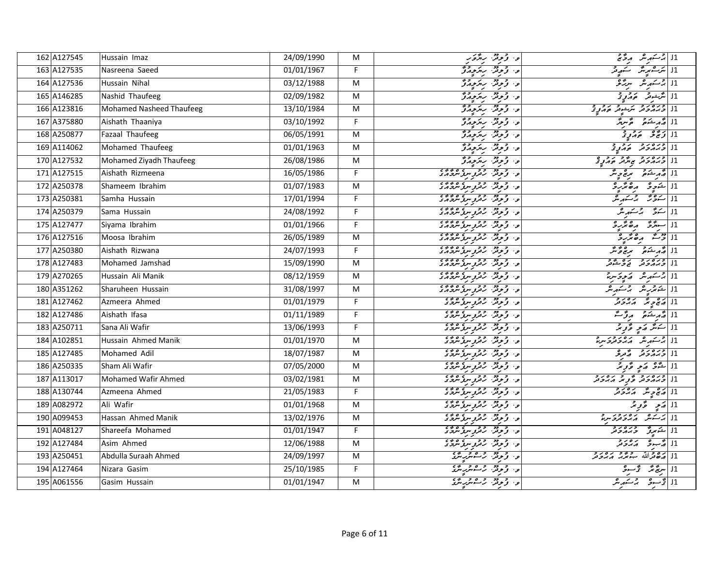| 162 A127545 | Hussain Imaz             | 24/09/1990 | M                       | ه وقرقر روز                          | J1 كەسئەرىن <i>ى</i> م <i>ې</i> رىخى                               |
|-------------|--------------------------|------------|-------------------------|--------------------------------------|--------------------------------------------------------------------|
| 163 A127535 | Nasreena Saeed           | 01/01/1967 | F.                      | والمحروقر المتزورة                   | J1 <mark>ىئر مىمبەنگە سىم</mark> بەر                               |
| 164 A127536 | Hussain Nihal            | 03/12/1988 | M                       | ه وقرقة بالرجازة                     |                                                                    |
| 165 A146285 | Nashid Thaufeeg          | 02/09/1982 | $\overline{M}$          | ه وڅوند بارچه و                      | 11 م <sup>ې</sup> رىشونتر ئ <i>وم<sup>5</sup>و</i> رت <sub>ى</sub> |
| 166 A123816 | Mohamed Nasheed Thaufeeg | 13/10/1984 | M                       | ە ئۇچىق بەرجەتى                      | J1 <i>בبەم</i> دىر مەسىر <i>مەمرى</i>                              |
| 167 A375880 | Aishath Thaaniya         | 03/10/1992 | F.                      | ه وقرقر بالرجادة                     | J1 أَهْدِيسُو مُحْسِرَةٌ                                           |
| 168 A250877 | Fazaal Thaufeeg          | 06/05/1991 | M                       | ه وڅوند بارچه و                      | J1 <i>أَدْ يُحُوَّ يُوَدُّدٍ وَ</i>                                |
| 169 A114062 | Mohamed Thaufeeg         | 01/01/1963 | M                       | ه و وفرقه برمز پروژ                  | J1 <i>دېمم</i> ې د مخمرېږ                                          |
| 170 A127532 | Mohamed Ziyadh Thaufeeg  | 26/08/1986 | M                       | ە ئ <sup>و</sup> رتر بەزىرىدۇ        | 11 <mark><i>בגף בל קית הרק</i>יקי</mark>                           |
| 171 A127515 | Aishath Rizmeena         | 16/05/1986 | F                       | و وقرقه رقرو مرکز معدادی             | II   مەمرىسىمۇ سىر <i>يى م</i> ويىتر                               |
| 172 A250378 | Shameem Ibrahim          | 01/07/1983 | M                       | والمحوفة القراس وودي                 | 5.500<br>J1   ش <i>ت</i> ورمح                                      |
| 173 A250381 | Samha Hussain            | 17/01/1994 | F.                      | و وقرقة رقور مركز معددة              | ستورٌ پرستهديگر<br>J1                                              |
| 174 A250379 | Sama Hussain             | 24/08/1992 | F                       | و و وفر روز سر معدود                 | سەۋ<br>جرستهرینز<br>J1                                             |
| 175 A127477 | Siyama Ibrahim           | 01/01/1966 | F.                      | و وقرقة التقرير موقد معدّ معدّ م     | سەدىر<br>ەھترىر<br>J <sub>1</sub>                                  |
| 176 A127516 | Moosa Ibrahim            | 26/05/1989 | M                       | و وقرقر رقوبر والمعداد               | $rac{1}{5}$<br>$2^{2}$ J1                                          |
| 177 A250380 | Aishath Rizwana          | 24/07/1993 | F.                      | و و در روز سو معدد                   | J1 مەم ئىكى ئىس ئىرىن ئىگە                                         |
| 178 A127483 | Mohamed Jamshad          | 15/09/1990 | M                       | و وقرقة رقوبرو ودود                  | J1 <i>وبزودو في وستم</i> ثر                                        |
| 179 A270265 | Hussain Ali Manik        | 08/12/1959 | M                       | و و وقر رقوبر و و دو                 | J1   جر سَمر شرحہ مرید<br>11   جر سَمر شرح مرید                    |
| 180 A351262 | Sharuheen Hussain        | 31/08/1997 | M                       | و وقرقة التقرير مركز متعددة          | J1   ش <i>ەترىپ شەر جىسى</i> ر ش                                   |
| 181 A127462 | Azmeera Ahmed            | 01/01/1979 | F                       | و و <i>وقت دور سو معن</i>            | 11 <i>ھَنَّجُوجُنَّہُ مَدْحَدَّةً</i>                              |
| 182 A127486 | Aishath Ifasa            | 01/11/1989 | F                       | ە ئۇمەتتى روزىيەتى ھەتتى             | J1   مَّەرِسْدَة    وِرَّتَهُ                                      |
| 183 A250711 | Sana Ali Wafir           | 13/06/1993 | $\overline{\mathsf{F}}$ | و و و در دور برو و دوم               | J1 س <i>تمبر مدّمة بدَ قر</i> مر                                   |
| 184 A102851 | Hussain Ahmed Manik      | 01/01/1970 | M                       | ە ئۇچە ئەترىپ ئەرەپ                  | J1   پر سکهر مگر مربر 2022 مربع                                    |
| 185 A127485 | Mohamed Adil             | 18/07/1987 | $\overline{M}$          | ە كۆمەت ئەترىپ ئومۇمۇمۇ              | J1 <i>22225 م</i> جعر مح                                           |
| 186 A250335 | Sham Ali Wafir           | 07/05/2000 | M                       | و و وفر دو برو دوم                   | II ڪُئو <sub>مَ</sub> حِ مُ <i>وبِرْ</i>                           |
| 187 A113017 | Mohamed Wafir Ahmed      | 03/02/1981 | M                       | ە كۆمەت ئەربىرى ئەرە                 | 11 כממכת פֿצָיל ממכת                                               |
| 188 A130744 | Azmeena Ahmed            | 21/05/1983 | F.                      | ە ئۇمەتتى روزىيەتى كەنتى             | J1   مَ <i>نْ جُوبِيَّة مَدْدَوْر</i>                              |
| 189 A082972 | Ali Wafir                | 01/01/1968 | M                       | ە ئ <i>ۇمۇتى رقۇمبىرى مۇن</i>        |                                                                    |
| 190 A099453 | Hassan Ahmed Manik       | 13/02/1976 | M                       | ە ئ <i>ۇمۇتى شۇرسۇ</i> شر <i>ۇ</i> ت | J1   ئەسكەنلەر مەردىرىدىنلەر 11                                    |
| 191 A048127 | Shareefa Mohamed         | 01/01/1947 | F                       |                                      | J1 خَمَعِيقٌ وَيَرْدُوَنَّدْ                                       |
| 192 A127484 | Asim Ahmed               | 12/06/1988 | M                       | ه . وڅوند . رتور سروسره د            | J1   پېښونه كېږدىكر                                                |
| 193 A250451 | Abdulla Suraah Ahmed     | 24/09/1997 | M                       | و و وده رقامترینده                   | 11 رەم لالله جو <i>مبر م</i> ردىر                                  |
| 194 A127464 | Nizara Gasim             | 25/10/1985 | F.                      | ە ئ <sub>ە</sub> بەللەر ئەس بىر ئىسى | سرچ تمر تخ سوچ<br>J1                                               |
| 195 A061556 | Gasim Hussain            | 01/01/1947 | $\overline{M}$          | ە ئ <sub>ى</sub> روتى رىسىر ئىرىدىكى | J1 أَوَّ سوڤ بِرْ سَهر مِّر                                        |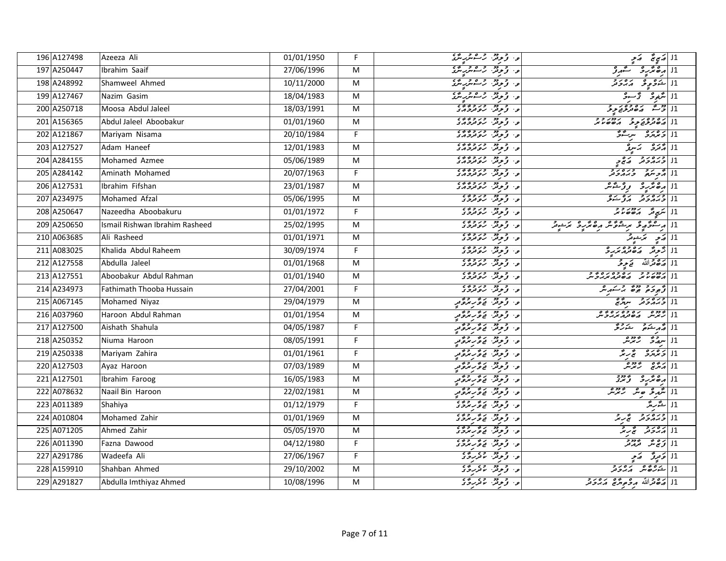| 196 A127498 | Azeeza Ali                     | 01/01/1950 | F.        | و وقرقر را ماریکی                             | <sup>1</sup>   اُرَى پِمَ مَسْرِ                                                    |
|-------------|--------------------------------|------------|-----------|-----------------------------------------------|-------------------------------------------------------------------------------------|
| 197 A250447 | Ibrahim Saaif                  | 27/06/1996 | M         | ە ئ <sub>ە</sub> توق <sup>ىن ئ</sup> ەشقىرىتى | $\frac{2}{3}$<br>سە پەر بى                                                          |
| 198 A248992 | Shamweel Ahmed                 | 10/11/2000 | M         | ه و و در را ماسربر مل                         | J1   ش <i>ۇ<sub>م</sub>ۇ ھەدە</i> ر                                                 |
| 199 A127467 | Nazim Gasim                    | 18/04/1983 | M         | ە ئۇچەر رەھبەت                                | J1 سَمْعِ <sub>و</sub> ڤ تَوَّسِوڤ                                                  |
| 200 A250718 | Moosa Abdul Jaleel             | 18/03/1991 | M         | و . و دور دوره در د                           | $\frac{1}{2}$ $\frac{1}{2}$ $\frac{1}{2}$ $\frac{1}{2}$ $\frac{1}{2}$ $\frac{1}{2}$ |
| 201 A156365 | Abdul Jaleel Aboobakur         | 01/01/1960 | M         | و . و <mark>و و و و و و و د</mark>            | 1 <mark>בספר כל המס</mark> עיר ב                                                    |
| 202 A121867 | Mariyam Nisama                 | 20/10/1984 | F.        | י ניכר ברובטים<br>פי ניכטי הפטרוב             | $\frac{2}{3}$ $\frac{2}{3}$ $\frac{1}{1}$<br>سرڪڙ                                   |
| 203 A127527 | Adam Haneef                    | 12/01/1983 | M         | י ציבה בניבים בי                              | J1 أَرْتَرَرْ بَرْسِرْ                                                              |
| 204 A284155 | Mohamed Azmee                  | 05/06/1989 | M         |                                               | J1 دېږدونه<br>ەيىم                                                                  |
| 205 A284142 | Aminath Mohamed                | 20/07/1963 | F         | ه . و <del>دو دروووه</del><br>و . و دور رودرو | ورەرد<br>J1   مُرْحِبَهُ <u>و</u>                                                   |
| 206 A127531 | Ibrahim Fifshan                | 23/01/1987 | M         | و بود در دوره د                               | J1 <mark>رەئزىرى ب<sub>و</sub>رىشىر</mark>                                          |
| 207 A234975 | Mohamed Afzal                  | 05/06/1995 | M         | ه وتونز رودون                                 | J1   جرەر جو مەسكى ئىس                                                              |
| 208 A250647 | Nazeedha Aboobakuru            | 01/01/1972 | F         | ه وتوفر روده و                                | 11 <mark>سَر<sub>ِّ</sub>مٍ مَنْ المُقْرَّمِ وَ</mark>                              |
| 209 A250650 | Ismail Rishwan Ibrahim Rasheed | 25/02/1995 | M         | ه . و <del>دو . و د و د .</del>               | مەھ ئۇرۇ بۇشەتر<br>11 رحمة ويدعوه                                                   |
| 210 A063685 | Ali Rasheed                    | 01/01/1971 | M         | و . و <mark>و . و . و . و</mark>              | J1   <i>مَيْ</i> بِمَسْبِعْرِ                                                       |
| 211 A083025 | Khalida Abdul Raheem           | 30/09/1974 | F.        | و . و <mark>و و د و و و و</mark>              | 11 تَرْحِقُ 45 فَقَدْمُ مَرْبَرَ وَ                                                 |
| 212 A127558 | Abdulla Jaleel                 | 01/01/1968 | M         | ه . و <del>دوه . و د و و ،</del>              | J1   رَصْحْرَاللّه         وَحِرَى                                                  |
| 213 A127551 | Aboobakur Abdul Rahman         | 01/01/1940 | M         | و . توفر . موتور<br>و . توفر . موتور .        | ر ٥ <u>٥ ٥ ٥ ٥ ٥ ٠</u><br>پره تر <i>۸ بر بر</i> <del>ر</del> س<br>$22601$ 11        |
| 214 A234973 | Fathimath Thooba Hussain       | 27/04/2001 | F.        | ه . و دو. د دود .<br>د . و دور . ره درو .     | 11 زُجِرَة وَهُ بِرَسَهِ شَرِ                                                       |
| 215 A067145 | Mohamed Niyaz                  | 29/04/1979 | M         | والمحروش فأقرر وقالبه                         | J1 دېم دې مرگزي                                                                     |
| 216 A037960 | Haroon Abdul Rahman            | 01/01/1954 | M         | والمحروش فأقربه وكالمحمد                      | 11 <i>לחם גם כסגספ</i> ם                                                            |
| 217 A127500 | Aishath Shahula                | 04/05/1987 | F         | والمحرورة المقرر وتحقير                       | ستذرقر<br>$\sqrt{\frac{2}{n}}$ J1                                                   |
| 218 A250352 | Niuma Haroon                   | 08/05/1991 | F         | والمحرفة المكار بمروكر                        | و <del>دو ه</del><br>رنجو نگر<br>$\frac{2}{3}$ ar $\frac{11}{3}$                    |
| 219 A250338 | Mariyam Zahira                 | 01/01/1961 | F.        | ە ئۇرۇق قەقرىرقۇم                             | J1 كەبۇر <i>ۇ</i><br>پورېژ<br>پن بر                                                 |
| 220 A127503 | Ayaz Haroon                    | 07/03/1989 | M         | ە . ۇجەنز . قاقرىرقۇم                         | <u>از بربوی گرمزمر</u>                                                              |
| 221 A127501 | Ibrahim Faroog                 | 16/05/1983 | M         | والمحرور فكالمروقوم                           | J1 رەغزى <sub>ر</sub> ۇ<br>و دوم<br>توسمه نو                                        |
| 222 A078632 | Naail Bin Haroon               | 22/02/1981 | M         | والمحرور وتحرير وتحد                          | ][ بنگد شهر مسر مستقرم مسر<br>[[ بنگد شهر مسر                                       |
| 223 A011389 | Shahiya                        | 01/12/1979 | F.        | و وقرقز في مربروي                             | J1 ڪُرير                                                                            |
| 224 A010804 | Mohamed Zahir                  | 01/01/1969 | M         | والمحروش فأقربهما                             | J1 دېږدنه<br>پر<br>پورېز                                                            |
| 225 A071205 | Ahmed Zahir                    | 05/05/1970 | M         | ه وود ځوربروه                                 | J1   رَرْدَ دَرْ مَحْ سِرْرَ                                                        |
| 226 A011390 | Fazna Dawood                   | 04/12/1980 | F         | والمحتوفة المكار وولا                         | J1 ئۇيج مىگە ئە <i>ھەد</i>                                                          |
| 227 A291786 | Wadeefa Ali                    | 27/06/1967 | F         | و وقوفز الأردي <del>.</del>                   | J1   <i>ق</i> َرِيرٌ = مَ <sup>و</sup> ِ                                            |
| 228 A159910 | Shahban Ahmed                  | 29/10/2002 | M         | و و دو دي دي.<br>د و دو مورد د                | J1   ش <i>ۇرۇش بەرەر د</i>                                                          |
| 229 A291827 | Abdulla Imthiyaz Ahmed         | 10/08/1996 | ${\sf M}$ | والمحروق المتحررة في                          | 11 مَدْهُمْ اللّه مردَّ مِنْ مَدْحَمْدِ                                             |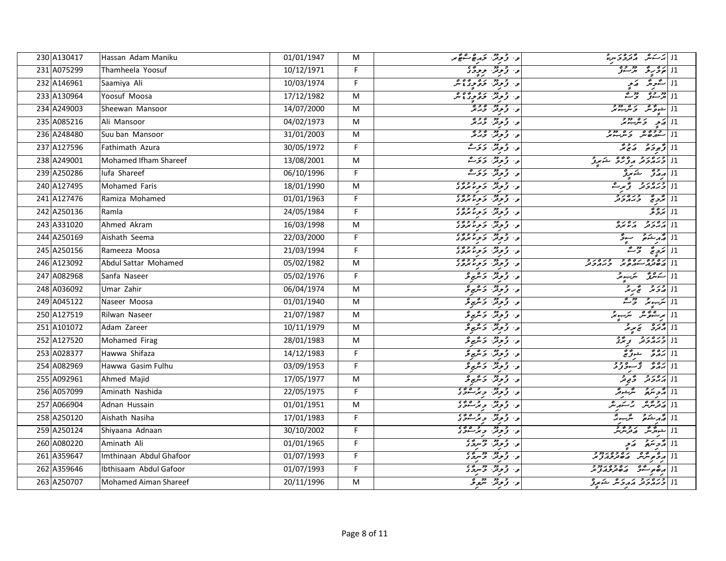| 230 A130417 | Hassan Adam Maniku      | 01/01/1947 | M              | والمحرور كررة سقيم  | J1   ئەسەمىرە ئەمرەرى بىرىدە                                                                                                                                                                                          |
|-------------|-------------------------|------------|----------------|---------------------|-----------------------------------------------------------------------------------------------------------------------------------------------------------------------------------------------------------------------|
| 231 A075299 | Thamheela Yoosuf        | 10/12/1971 | F.             | ه . وقوقر . وودَّى  | J1   <sub>5</sub> در پی تینز                                                                                                                                                                                          |
| 232 A146961 | Saamiya Ali             | 10/03/1974 | F.             | ه وڅونز ځوې د کامر  | J1   ستمر پژم مرکب مرکب<br>  سیاستان مرکب مرکب                                                                                                                                                                        |
| 233 A130964 | Yoosuf Moosa            | 17/12/1982 | M              | و وقوقر توکووی کر   | $\frac{62.27}{7}$ J1<br>ديسته                                                                                                                                                                                         |
| 234 A249003 | Sheewan Mansoor         | 14/07/2000 | M              | ه . توفتر . وُرتر   | J1   شوقٌ شرّ قريب قريبة مرّ                                                                                                                                                                                          |
| 235 A085216 | Ali Mansoor             | 04/02/1973 | M              | والمتحوص ورومي      | $\frac{1}{2}$ $\frac{1}{2}$ $\frac{1}{2}$ $\frac{1}{2}$ $\frac{1}{2}$ $\frac{1}{2}$                                                                                                                                   |
| 236 A248480 | Suu ban Mansoor         | 31/01/2003 | M              | والمروفر ورو        | ر جو جو د<br>تر مگر ښونتو<br>$2221$ $11$                                                                                                                                                                              |
| 237 A127596 | Fathimath Azura         | 30/05/1972 | F.             | ە بۇ دەپر كەنزىك    | 11 زُّجِرَةً رَبِّي                                                                                                                                                                                                   |
| 238 A249001 | Mohamed Ifham Shareef   | 13/08/2001 | M              | ە بۇ دېم ئەنۇب      | 11 <mark>12222 مرورو</mark><br>ے موثر                                                                                                                                                                                 |
| 239 A250286 | lufa Shareef            | 06/10/1996 | F.             | والمحجوش وكمركب     | J1 أمرة محمّد مستقدم المحمّد السياقية السياقية السياقية بالسياقية بين السياقية بين السياقية السياقية<br>مستقبل السياقية السياقية السياقية السياقية بين السياقية السياقية السياقية السياقية السياقية السياقية السياقية |
| 240 A127495 | Mohamed Faris           | 18/01/1990 | M              | ه د ود د دروده      | J1   ج. بروتر گ <sub>ر م</sub> ر                                                                                                                                                                                      |
| 241 A127476 | Ramiza Mohamed          | 01/01/1963 | F.             | ه د وده. د در دوره  | J1 بَرْدِيَّ دَبَرُدْدَنْدَ                                                                                                                                                                                           |
| 242 A250136 | Ramla                   | 24/05/1984 | F              | ه د ودر د در دوره   | لره پژ<br>  J1                                                                                                                                                                                                        |
| 243 A331020 | Ahmed Akram             | 16/03/1998 | ${\sf M}$      | ه د وده. د در دور   | J1 كەنزى قىر<br>بره بره                                                                                                                                                                                               |
| 244 A250169 | Aishath Seema           | 22/03/2000 | F              | ه د وده زمانده د    | J1 مەمئەم<br>سوژ                                                                                                                                                                                                      |
| 245 A250156 | Rameeza Moosa           | 21/03/1994 | F.             | ه وقرقه وقرانوه     | وسته<br>J1   مَدْحِ مَحَ                                                                                                                                                                                              |
| 246 A123092 | Abdul Sattar Mohamed    | 05/02/1982 | M              | و وقوقر وتومانورو   | J1   مەھەم مەدەم بىر<br>- <i>جرم</i> و بر و<br>تر <i>بر بار</i> تر                                                                                                                                                    |
| 247 A082968 | Sanfa Naseer            | 05/02/1976 | F              | ە . ۇوقۇ. كەشھۇ     | أسكاند كالمسبور<br>J1                                                                                                                                                                                                 |
| 248 A036092 | Umar Zahir              | 06/04/1974 | M              | والمحموص وكالمعافى  | J1 <mark>252 جي سر</mark>                                                                                                                                                                                             |
| 249 A045122 | Naseer Moosa            | 01/01/1940 | M              | والمحتوفر وكالمعافى | J1   مَدَسِعِدٌ حَقَّ مِسَمَّ                                                                                                                                                                                         |
| 250 A127519 | Rilwan Naseer           | 21/07/1987 | M              | ە بۇ دېمر كەشپاۋ    | J1 برين <sub>م</sub> وگر<br>تترسونتر                                                                                                                                                                                  |
| 251 A101072 | Adam Zareer             | 10/11/1979 | M              | والمحرقة كالمعي     | J1   مُرْمَرْدْ       بَرْمِرْ                                                                                                                                                                                        |
| 252 A127520 | Mohamed Firag           | 28/01/1983 | ${\sf M}$      | ە بۇ دەپ كەنگەنى ئى | J1 دېږدونر ویژ <sub>د</sub>                                                                                                                                                                                           |
| 253 A028377 | Hawwa Shifaza           | 14/12/1983 | F.             | ە بۇرقۇ كەشپۇ       | J1 <i>بَدُهُ</i> شَوَّجَ                                                                                                                                                                                              |
| 254 A082969 | Hawwa Gasim Fulhu       | 03/09/1953 | F              | ە . ۇرۇژ . دىگەنى   | J1 ئەرمۇ سى قەرىرىيەتى ئىسلىرى ئور                                                                                                                                                                                    |
| 255 A092961 | Ahmed Majid             | 17/05/1977 | ${\sf M}$      | ە . ۇرۇژ كەشى ۋ     | J1   رژوئر<br>تھ جاتھ<br>مرکب حک                                                                                                                                                                                      |
| 256 A057099 | Aminath Nashida         | 22/05/1975 | F.             | ه دوله وتروه        | ر<br>سرمشوتر<br>J1   مُمَة سَمَعْهِ                                                                                                                                                                                   |
| 257 A066904 | Adnan Hussain           | 01/01/1951 | M              | ه ووه وبر دوره      | جرسكهرمثر<br>J1   پرتم <b>ر</b> مثر مل                                                                                                                                                                                |
| 258 A250120 | Aishath Nasiha          | 17/01/1983 | F.             | ه وتوفر وتراه ده    | یگر بسید بر<br>J1 أَمَّ م <sup>ِ</sup> شَوَّمَ                                                                                                                                                                        |
| 259 A250124 | Shiyaana Adnaan         | 30/10/2002 | F              | و وقوقه وبراء و     | J1 مشەمرىمى <i>گە <mark>م</mark>ىقرىترىتر</i>                                                                                                                                                                         |
| 260 A080220 | Aminath Ali             | 01/01/1965 | F              | والمتحوقر المحاسري  | J1 أَمَّ <i>جِسَعَةُ أَمَيِّ</i>                                                                                                                                                                                      |
| 261 A359647 | Imthinaan Abdul Ghafoor | 01/07/1993 | F              | و وقرقه ومردي       | גם כפג חבר<br>גם בגיב ג'ב<br>J1 <mark>مەۋەمەتىگە</mark>                                                                                                                                                               |
| 262 A359646 | Ibthisaam Abdul Gafoor  | 01/07/1993 | F.             | والمحرقر وسروء      | 11 رەم <sup>20</sup> مەدەبر <del>دى</del>                                                                                                                                                                             |
| 263 A250707 | Mohamed Aiman Shareef   | 20/11/1996 | $\overline{M}$ | ه . د څوند . متنوع  | 11 <i>ديرويز مەدى</i> ر خ <i>ىبر</i> ۇ                                                                                                                                                                                |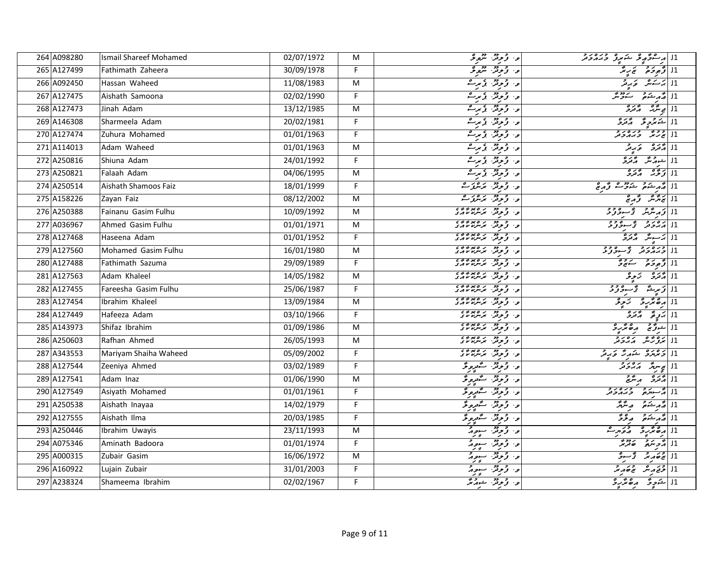| 264 A098280 | <b>Ismail Shareef Mohamed</b> | 02/07/1972 | M         | و· وُمُحِمَّدُ سُمُومُحُ                                                                                                                                                                                                         | 11 رعوم و خمیرو دیده در                                                                                                                                                                                                           |
|-------------|-------------------------------|------------|-----------|----------------------------------------------------------------------------------------------------------------------------------------------------------------------------------------------------------------------------------|-----------------------------------------------------------------------------------------------------------------------------------------------------------------------------------------------------------------------------------|
| 265 A127499 | Fathimath Zaheera             | 30/09/1978 | F.        | و· وُمِرْتُهُ سُرُومٌ                                                                                                                                                                                                            | J1   قُ <i>مِ دَهْنَ تَمْ بِ</i> تَدْ                                                                                                                                                                                             |
| 266 A092450 | Hassan Waheed                 | 11/08/1983 | ${\sf M}$ | اء <sub>َ</sub> وُمِرْتَزَ وَمِرِتْ                                                                                                                                                                                              | J1   پرسترس کاربر <mark>تر</mark>                                                                                                                                                                                                 |
| 267 A127475 | Aishath Samoona               | 02/02/1990 | F.        | ە ئۇرلار ئۈمرى <mark>ش</mark>                                                                                                                                                                                                    | ستردش<br>J1 أُمَّ مِ <b>سُوَّمَ</b>                                                                                                                                                                                               |
| 268 A127473 | Jinah Adam                    | 13/12/1985 | M         | ە ك <sup>ە</sup> ر قۇمۇم بىر بىر بىر                                                                                                                                                                                             | J1   ج <i>ي مدَّنْدُ مَدْ دَرْد</i> َ                                                                                                                                                                                             |
| 269 A146308 | Sharmeela Adam                | 20/02/1981 | F.        | ە <sub>"</sub> ۋېزىق" ۋىرت                                                                                                                                                                                                       | $\frac{1}{2}$ الشركور محمدة المركزى المركزى المركزى المركزى المستورى المستورى المستورى المستورى المستورى المستورى المستورى المستورى المستورى المستورى المستورى المستورى المستورى المستورى المستورى المستورى المستورى المستورى الم |
| 270 A127474 | Zuhura Mohamed                | 01/01/1963 | F         | ە بۇ <i>دەنتى بۇ بىر</i> ىش                                                                                                                                                                                                      | ر در در د<br>د <i>بر</i> د تر<br>$\frac{2}{3}$ $\frac{2}{3}$ $\frac{2}{3}$ $\frac{1}{1}$                                                                                                                                          |
| 271 A114013 | Adam Waheed                   | 01/01/1963 | M         | ە . ۇرۇژ . ۇىرگ                                                                                                                                                                                                                  | J1 مُرْمَرْدْ   مَرْبِرْ                                                                                                                                                                                                          |
| 272 A250816 | Shiuna Adam                   | 24/01/1992 | F.        | ە كۆمۈنگە بۇ ئېرىش <mark>،</mark>                                                                                                                                                                                                | J1 خەر <sup>م</sup> ىگە گەنىرى                                                                                                                                                                                                    |
| 273 A250821 | Falaah Adam                   | 04/06/1995 | M         | ە <sub>ئۇ ت</sub> وقتر بۇ برگ                                                                                                                                                                                                    | 11 ۇ <i>ۋە</i> مەمرو                                                                                                                                                                                                              |
| 274 A250514 | Aishath Shamoos Faiz          | 18/01/1999 | F.        | ە كۆمەتتى ئەشتەت                                                                                                                                                                                                                 | $\frac{2}{3}$ $\frac{2}{3}$ $\frac{2}{3}$ $\frac{2}{3}$ $\frac{2}{3}$ $\frac{2}{3}$ $\frac{2}{3}$ $\frac{2}{3}$ $\frac{2}{3}$                                                                                                     |
| 275 A158226 | Zayan Faiz                    | 08/12/2002 | M         | اء و موق <i>ز بر مدین</i> ک                                                                                                                                                                                                      | J1 يَ پُرڻر تَرُم <sup>ع</sup>                                                                                                                                                                                                    |
| 276 A250388 | Fainanu Gasim Fulhu           | 10/09/1992 | M         | פי <del>ל כדי גם ממשפט.</del><br>פי <del>ל פ</del> רי מיטמאומ                                                                                                                                                                    | J1 <i>ۆرىتى</i> تر ق <sup>و</sup> سوزى                                                                                                                                                                                            |
| 277 A036967 | Ahmed Gasim Fulhu             | 01/01/1971 | M         | פי ציידה מיטימית בי                                                                                                                                                                                                              | J1 كەبۇر قۇسۇرى                                                                                                                                                                                                                   |
| 278 A127468 | Haseena Adam                  | 01/01/1952 | F.        | פי ציידה משמאים                                                                                                                                                                                                                  | J1  پرسېد م <sup>ح</sup> ره                                                                                                                                                                                                       |
| 279 A127560 | Mohamed Gasim Fulhu           | 16/01/1980 | M         | و د و در ۱۳۶۵ ولاي <del>م</del>                                                                                                                                                                                                  | 11 درەرد ۋىسوزى                                                                                                                                                                                                                   |
| 280 A127488 | Fathimath Sazuma              | 29/09/1989 | F         | و د <i>و ده. موسوم</i>                                                                                                                                                                                                           | ستهج<br>J1   تُرْجِعَةُ قُ                                                                                                                                                                                                        |
| 281 A127563 | Adam Khaleel                  | 14/05/1982 | M         | פי צייכני, ובשומש השימו                                                                                                                                                                                                          | J1   مُرْمَرْد       زَرِدْ                                                                                                                                                                                                       |
| 282 A127455 | Fareesha Gasim Fulhu          | 25/06/1987 | F.        | י ציבה מממינים<br>פי ציבה מיטיונומ                                                                                                                                                                                               | ][  زَمِيشَہٗ تَوْسِوْرُدُ                                                                                                                                                                                                        |
| 283 A127454 | Ibrahim Khaleel               | 13/09/1984 | M         | פ ציפה מסממים                                                                                                                                                                                                                    | <mark>ال برڭ ئېرىۋە بار ئې</mark> مىتىتى ئىلىپ ئىستان ئىلانلىق ئىلانلىق ئىلانلىق ئىلانلىق ئىلانلىق ئىلانلىق ئىلانلىق ئىلانلى                                                                                                      |
| 284 A127449 | Hafeeza Adam                  | 03/10/1966 | F         | و و دور بر ۱۳۶۵                                                                                                                                                                                                                  | J1   يَروِيْحُ     مُرْتَوَرْ                                                                                                                                                                                                     |
| 285 A143973 | Shifaz Ibrahim                | 01/09/1986 | M         | و . و دور استان در در دارد با ایران در ایران در ایران در ایران در ایران در ایران در ایران در ایران در ایران در<br>در ایران در ایران در ایران در ایران در ایران در ایران در ایران در ایران در ایران در ایران در ایران در ایران در | J1   شەنۇبى<br>5.500                                                                                                                                                                                                              |
| 286 A250603 | Rafhan Ahmed                  | 26/05/1993 | M         | ه و دور بر ۱۳۶۵                                                                                                                                                                                                                  | J1 بزو <sup>مب</sup> ر پردند                                                                                                                                                                                                      |
| 287 A343553 | Mariyam Shaiha Waheed         | 05/09/2002 | F.        | כ כדי הממשים<br>פי נציבה והמינועות                                                                                                                                                                                               | J1 كَيْرْمَرْدْ شَمْرِدْ كَرْبِيْرْ                                                                                                                                                                                               |
| 288 A127544 | Zeeniya Ahmed                 | 03/02/1989 | F         | ە . ۇوقۇ. شەرەق                                                                                                                                                                                                                  | J1   پې سرچگر مرکز <i>دی</i>                                                                                                                                                                                                      |
| 289 A127541 | Adam Inaz                     | 01/06/1990 | M         | ە . ۇوقۇ. سۇرەپ                                                                                                                                                                                                                  | J1 أَمُرْمَر مَسَّمَّى                                                                                                                                                                                                            |
| 290 A127549 | Asiyath Mohamed               | 01/01/1961 | F.        | ە . ۇونژ . شەرەۋ                                                                                                                                                                                                                 | - <i>جره و د</i><br>تر <i>پر ډ</i> ېر<br>J1 أُمُّ سورَهِ –                                                                                                                                                                        |
| 291 A250538 | Aishath Inayaa                | 14/02/1979 | F.        | ە <sub>ش</sub> ۇرۇش سە <sub>تورو</sub> ۇ                                                                                                                                                                                         | ەسىر<br>J1 أَمَّ مِيسُوْمِ                                                                                                                                                                                                        |
| 292 A127555 | Aishath Ilma                  | 20/03/1985 | F.        | <i>ە: ۋوقۇ</i> شە <sub>يوم</sub> ۇ                                                                                                                                                                                               | ەبە<br>J1   مَدْمِسْتَمْرِ                                                                                                                                                                                                        |
| 293 A250446 | Ibrahim Uwayis                | 23/11/1993 | M         | ه د توجه سوه چ                                                                                                                                                                                                                   | J1 رەھمەرد <sup>ى</sup><br>ەرەرگ                                                                                                                                                                                                  |
| 294 A075346 | Aminath Badoora               | 01/01/1974 | F.        | ه د تو دين سوه                                                                                                                                                                                                                   | ر دو پر<br>ن تر نر<br>J1   مرَّحب <i>رة</i>                                                                                                                                                                                       |
| 295 A000315 | Zubair Gasim                  | 16/06/1972 | M         | ه د وقر سوړ                                                                                                                                                                                                                      | $3 - 3 - 2062$                                                                                                                                                                                                                    |
| 296 A160922 | Lujain Zubair                 | 31/01/2003 | F.        | ه د تو د به سوه ک                                                                                                                                                                                                                | J1 خۇم مىر مىھەر                                                                                                                                                                                                                  |
| 297 A238324 | Shameema Ibrahim              | 02/02/1967 | F         | والمحروش الشورجي                                                                                                                                                                                                                 | J1 خَوَجَ مِنْ حَمْدِهِ                                                                                                                                                                                                           |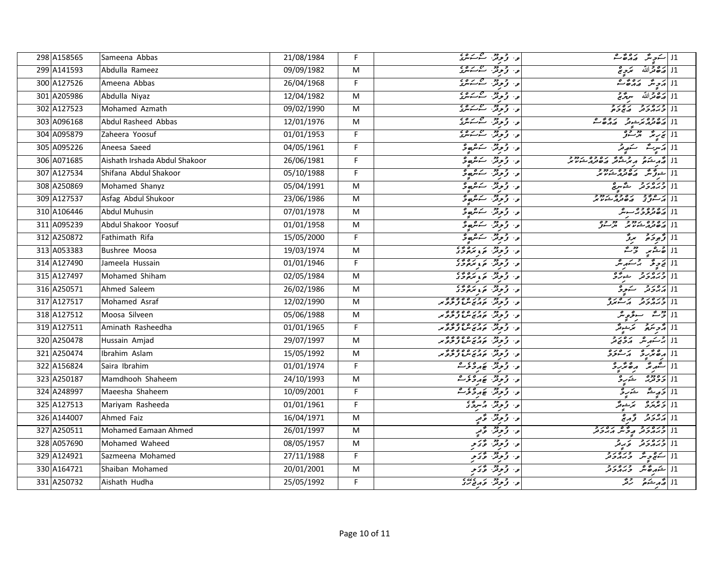| 298 A158565 | Sameena Abbas                 | 21/08/1984 | F              | ه د دور من ده د                                      | $\begin{array}{c c c c} \hline \text{Cone} & \text{Cone} & \text{Cone} \\ \hline \text{Cone} & \text{Cone} & \text{Cone} \\ \hline \end{array}$                                                                                                                                                                                                                                                                                        |
|-------------|-------------------------------|------------|----------------|------------------------------------------------------|----------------------------------------------------------------------------------------------------------------------------------------------------------------------------------------------------------------------------------------------------------------------------------------------------------------------------------------------------------------------------------------------------------------------------------------|
| 299 A141593 | Abdulla Rameez                | 09/09/1982 | M              | ە ئ <sub>ىر</sub> تەرەپتى كەنگەنلەرگە                | J1   رَصْحَرْاللَّه<br>بحرجرهم                                                                                                                                                                                                                                                                                                                                                                                                         |
| 300 A127526 | Ameena Abbas                  | 26/04/1968 | F.             | ە نۇپەتر سىرسىدى                                     | $\frac{1}{\sqrt{2\cdot\frac{1}{\sqrt{2\cdot\frac{1}{\sqrt{2\cdot\frac{1}{\sqrt{2\cdot\frac{1}{\sqrt{2\cdot\frac{1}{\sqrt{2\cdot\frac{1}{\sqrt{2\cdot\frac{1}{\sqrt{2\cdot\frac{1}{\sqrt{2\cdot\frac{1}{\sqrt{2\cdot\frac{1}{\sqrt{2\cdot\frac{1}{\sqrt{2\cdot\frac{1}{\sqrt{2\cdot\frac{1}{\sqrt{2\cdot\frac{1}{\sqrt{2\cdot\frac{1}{\sqrt{2\cdot\frac{1}{\sqrt{2\cdot\frac{1}{\sqrt{2\cdot\frac{1}{\sqrt{2\cdot\frac{1}{\sqrt{2\cdot$ |
| 301 A205986 | Abdulla Niyaz                 | 12/04/1982 | M              | ە ئۇقىق سىرسىتىكى                                    | سروح<br>J1 22 م <i>ح</i> صرالله                                                                                                                                                                                                                                                                                                                                                                                                        |
| 302 A127523 | Mohamed Azmath                | 09/02/1990 | M              | ە نۇمۇق سىرسىمىتى                                    | أوبروبرو<br>7.01<br>J1                                                                                                                                                                                                                                                                                                                                                                                                                 |
| 303 A096168 | <b>Abdul Rasheed Abbas</b>    | 12/01/1976 | M              | ە نۇمۇق سىرسىتىكى                                    | 2507<br>J1   مەھ <i>ەرە بىر</i> ىشەن <i>ر</i>                                                                                                                                                                                                                                                                                                                                                                                          |
| 304 A095879 | Zaheera Yoosuf                | 01/01/1953 | F.             | و· تۇپرىق سىگەنلىكى                                  | دوستره<br>در سور<br>J1 ایج په تنگ                                                                                                                                                                                                                                                                                                                                                                                                      |
| 305 A095226 | Aneesa Saeed                  | 04/05/1961 | F.             | ه د ودر سنده د                                       | J1  رئیبیٹ<br>ستهرش                                                                                                                                                                                                                                                                                                                                                                                                                    |
| 306 A071685 | Aishath Irshada Abdul Shakoor | 26/06/1981 | F              | ە زىرتى سەھەد                                        | 11   مەم ئىس ئەرەپ مەدەبەر دە د                                                                                                                                                                                                                                                                                                                                                                                                        |
| 307 A127534 | Shifana Abdul Shakoor         | 05/10/1988 | F.             | و توفق سەھەۋ                                         | ]] خوتی شهر محصور محمد در در در<br>11   خوتی شهر شرکت محمد                                                                                                                                                                                                                                                                                                                                                                             |
| 308 A250869 | Mohamed Shanyz                | 05/04/1991 | M              | و دود. سکره و                                        | J1 دېرورو شورچ                                                                                                                                                                                                                                                                                                                                                                                                                         |
| 309 A127537 | Asfag Abdul Shukoor           | 23/06/1986 | M              | و وَوِيْنْ سَائِرُوهِ وَ                             | 11 كەسىرى مەھ <i>ەرەدە</i>                                                                                                                                                                                                                                                                                                                                                                                                             |
| 310 A106446 | Abdul Muhusin                 | 07/01/1978 | M              | والمحرفر المستقصر                                    | ره وه وه مسر<br>پره ترو ژبر سرس<br>J1                                                                                                                                                                                                                                                                                                                                                                                                  |
| 311 A095239 | Abdul Shakoor Yoosuf          | 01/01/1958 | M              | ه وڅونز شوه د                                        | <u>ר בפרי החבר חבר פר</u>                                                                                                                                                                                                                                                                                                                                                                                                              |
| 312 A250872 | Fathimath Rifa                | 15/05/2000 | F.             | ه ژونژ خشهود                                         | J1   <i>وَجوحَةْ</i> مِروَّ                                                                                                                                                                                                                                                                                                                                                                                                            |
| 313 A053383 | <b>Bushree Moosa</b>          | 19/03/1974 | M              | و توفر تورود                                         | وسته<br>$\frac{2}{9}$ يوم                                                                                                                                                                                                                                                                                                                                                                                                              |
| 314 A127490 | Jameela Hussain               | 01/01/1946 | F.             | ه وقرقه توء بره ده                                   | J1  غ <i>ج</i> وعْر محمد سكر مثل                                                                                                                                                                                                                                                                                                                                                                                                       |
| 315 A127497 | Mohamed Shiham                | 02/05/1984 | M              | ه د و <del>رو ن</del> ه دره ده                       | J1 دېمبرونر<br>ر شەرىپى<br>سىسەرىپى                                                                                                                                                                                                                                                                                                                                                                                                    |
| 316 A250571 | Ahmed Saleem                  | 26/02/1986 | M              | و وقرقه ځومومون                                      | J1 كەبرى قىر                                                                                                                                                                                                                                                                                                                                                                                                                           |
| 317 A127517 | Mohamed Asraf                 | 12/02/1990 | M              | والمحوص المعروف والمعالج والمحرور                    | J1 دُبَہْرَدَتْر<br>ىر شەئىرى<br>مەسىرىسى                                                                                                                                                                                                                                                                                                                                                                                              |
| 318 A127512 | Moosa Silveen                 | 05/06/1988 | M              | ه . د دور ۱۵۵۵ ور<br>د . د دور . د د پاس و د د و بر  | J1 دحمشہ مس <i>وفہ م</i> یں                                                                                                                                                                                                                                                                                                                                                                                                            |
| 319 A127511 | Aminath Rasheedha             | 01/01/1965 | F.             | ە بۇ دەر مەدەبەدە بەر<br>ئەن ئۇچىتى ئۇيغۇر ئۇيۇر بىر | J1 أُمَّرْ سَمَّعْهُ                                                                                                                                                                                                                                                                                                                                                                                                                   |
| 320 A250478 | Hussain Amjad                 | 29/07/1997 | M              |                                                      | J1 ك <sup>ې</sup> رىكىمېرىتىل<br>برونج تر                                                                                                                                                                                                                                                                                                                                                                                              |
| 321 A250474 | Ibrahim Aslam                 | 15/05/1992 | M              | و توفر مودر 2000 و .<br>و توفر مودی من توفروند       | رمشود<br>J1 رەغرىر <i>ۇ</i>                                                                                                                                                                                                                                                                                                                                                                                                            |
| 322 A156824 | Saira Ibrahim                 | 01/01/1974 | F.             | والمحرقة المروكوب                                    | 5.500<br>ستهرئر<br>  J1                                                                                                                                                                                                                                                                                                                                                                                                                |
| 323 A250187 | Mamdhooh Shaheem              | 24/10/1993 | M              | والمحرفر كالمروى                                     | ال $\frac{1}{2}$ وقربر<br>ے پر دی<br>مشاہ                                                                                                                                                                                                                                                                                                                                                                                              |
| 324 A248997 | Maeesha Shaheem               | 10/09/2001 | F              | ه د تر ديز کار د کار                                 | J1  خ م <i>ب</i> شة                                                                                                                                                                                                                                                                                                                                                                                                                    |
| 325 A127513 | Mariyam Rasheeda              | 01/01/1961 | F              | اه و و در مستعدد کار در در مستقری                    | J1  خ <i>ند</i> ور 3<br>ىخرىشەقر                                                                                                                                                                                                                                                                                                                                                                                                       |
| 326 A144007 | Ahmed Faiz                    | 16/04/1971 | M              | و· وُوتْرُ وُّتِرِ                                   | J1   پروژنر<br>ر<br>تر مرج                                                                                                                                                                                                                                                                                                                                                                                                             |
| 327 A250511 | Mohamed Eamaan Ahmed          | 26/01/1997 | M              | ه· وُمُحِمَّدُ هُمْ ٍ                                | 11 <mark>במחכת הכ"ל המכת</mark>                                                                                                                                                                                                                                                                                                                                                                                                        |
| 328 A057690 | Mohamed Waheed                | 08/05/1957 | M              | والمتحوص كالمحاكم                                    | J1   ج: پر چی محد پر تی                                                                                                                                                                                                                                                                                                                                                                                                                |
| 329 A124921 | Sazmeena Mohamed              | 27/11/1988 | F.             | ه· دُمُومْرُ الْأَدَمُ                               | J1   س <i>وچ پر محمد م</i> حمد                                                                                                                                                                                                                                                                                                                                                                                                         |
| 330 A164721 | Shaiban Mohamed               | 20/01/2001 | M              | ه وڅونژ وگونو                                        | و ره رو<br>تر پروتر<br>$\frac{2}{2}$ $\frac{2}{2}$ $\frac{2}{2}$ $\frac{2}{2}$ $\frac{2}{2}$ $\frac{2}{2}$                                                                                                                                                                                                                                                                                                                             |
| 331 A250732 | Aishath Hudha                 | 25/05/1992 | $\overline{F}$ | و . و <del>د</del> محمد عدد عدد الم                  | J1 مەم ئىقرار ئىگر                                                                                                                                                                                                                                                                                                                                                                                                                     |